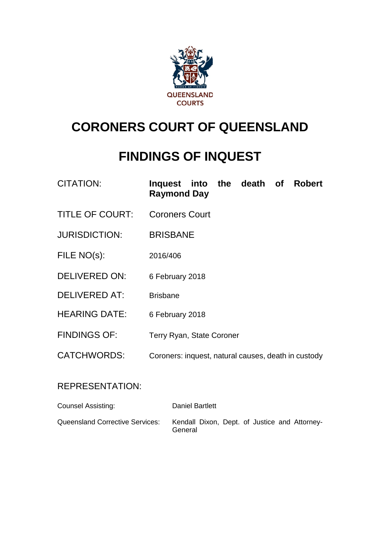

# **CORONERS COURT OF QUEENSLAND**

## **FINDINGS OF INQUEST**

| <b>CITATION:</b> | Inquest into the death of Robert |  |  |  |  |
|------------------|----------------------------------|--|--|--|--|
|                  | <b>Raymond Day</b>               |  |  |  |  |

- TITLE OF COURT: Coroners Court
- JURISDICTION: BRISBANE
- FILE NO(s): 2016/406
- DELIVERED ON: 6 February 2018
- DELIVERED AT: Brisbane
- HEARING DATE: 6 February 2018
- FINDINGS OF: Terry Ryan, State Coroner
- CATCHWORDS: Coroners: inquest, natural causes, death in custody

#### REPRESENTATION:

| Counsel Assisting:                     | Daniel Bartlett                                          |
|----------------------------------------|----------------------------------------------------------|
| <b>Queensland Corrective Services:</b> | Kendall Dixon, Dept. of Justice and Attorney-<br>General |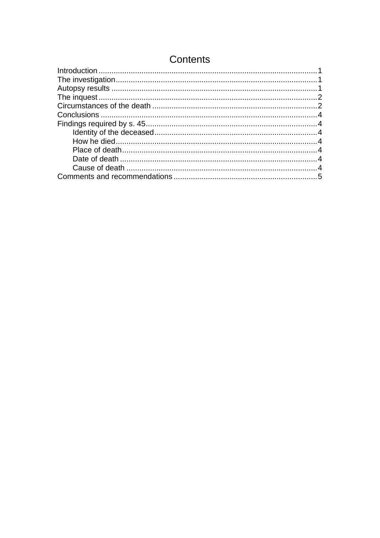## **Contents**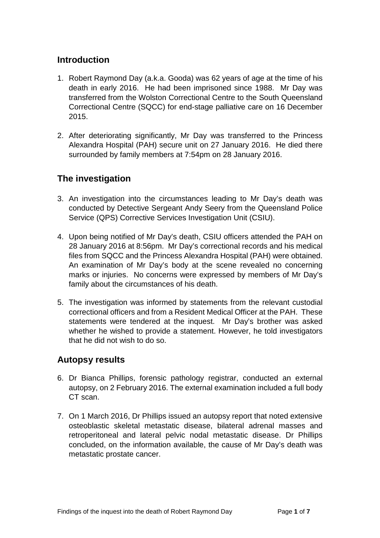#### <span id="page-2-0"></span>**Introduction**

- 1. Robert Raymond Day (a.k.a. Gooda) was 62 years of age at the time of his death in early 2016. He had been imprisoned since 1988. Mr Day was transferred from the Wolston Correctional Centre to the South Queensland Correctional Centre (SQCC) for end-stage palliative care on 16 December 2015.
- 2. After deteriorating significantly, Mr Day was transferred to the Princess Alexandra Hospital (PAH) secure unit on 27 January 2016. He died there surrounded by family members at 7:54pm on 28 January 2016.

## <span id="page-2-1"></span>**The investigation**

- 3. An investigation into the circumstances leading to Mr Day's death was conducted by Detective Sergeant Andy Seery from the Queensland Police Service (QPS) Corrective Services Investigation Unit (CSIU).
- 4. Upon being notified of Mr Day's death, CSIU officers attended the PAH on 28 January 2016 at 8:56pm. Mr Day's correctional records and his medical files from SQCC and the Princess Alexandra Hospital (PAH) were obtained. An examination of Mr Day's body at the scene revealed no concerning marks or injuries. No concerns were expressed by members of Mr Day's family about the circumstances of his death.
- 5. The investigation was informed by statements from the relevant custodial correctional officers and from a Resident Medical Officer at the PAH. These statements were tendered at the inquest. Mr Day's brother was asked whether he wished to provide a statement. However, he told investigators that he did not wish to do so.

#### <span id="page-2-2"></span>**Autopsy results**

- 6. Dr Bianca Phillips, forensic pathology registrar, conducted an external autopsy, on 2 February 2016. The external examination included a full body CT scan.
- 7. On 1 March 2016, Dr Phillips issued an autopsy report that noted extensive osteoblastic skeletal metastatic disease, bilateral adrenal masses and retroperitoneal and lateral pelvic nodal metastatic disease. Dr Phillips concluded, on the information available, the cause of Mr Day's death was metastatic prostate cancer.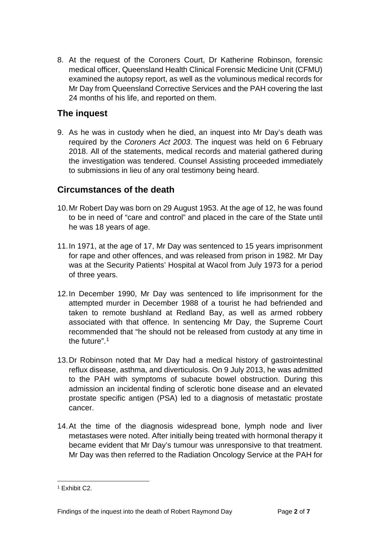8. At the request of the Coroners Court, Dr Katherine Robinson, forensic medical officer, Queensland Health Clinical Forensic Medicine Unit (CFMU) examined the autopsy report, as well as the voluminous medical records for Mr Day from Queensland Corrective Services and the PAH covering the last 24 months of his life, and reported on them.

### <span id="page-3-0"></span>**The inquest**

9. As he was in custody when he died, an inquest into Mr Day's death was required by the *Coroners Act 2003*. The inquest was held on 6 February 2018. All of the statements, medical records and material gathered during the investigation was tendered. Counsel Assisting proceeded immediately to submissions in lieu of any oral testimony being heard.

### <span id="page-3-1"></span>**Circumstances of the death**

- 10.Mr Robert Day was born on 29 August 1953. At the age of 12, he was found to be in need of "care and control" and placed in the care of the State until he was 18 years of age.
- 11.In 1971, at the age of 17, Mr Day was sentenced to 15 years imprisonment for rape and other offences, and was released from prison in 1982. Mr Day was at the Security Patients' Hospital at Wacol from July 1973 for a period of three years.
- 12.In December 1990, Mr Day was sentenced to life imprisonment for the attempted murder in December 1988 of a tourist he had befriended and taken to remote bushland at Redland Bay, as well as armed robbery associated with that offence. In sentencing Mr Day, the Supreme Court recommended that "he should not be released from custody at any time in the future". [1](#page-3-2)
- 13.Dr Robinson noted that Mr Day had a medical history of gastrointestinal reflux disease, asthma, and diverticulosis. On 9 July 2013, he was admitted to the PAH with symptoms of subacute bowel obstruction. During this admission an incidental finding of sclerotic bone disease and an elevated prostate specific antigen (PSA) led to a diagnosis of metastatic prostate cancer.
- 14.At the time of the diagnosis widespread bone, lymph node and liver metastases were noted. After initially being treated with hormonal therapy it became evident that Mr Day's tumour was unresponsive to that treatment. Mr Day was then referred to the Radiation Oncology Service at the PAH for

<span id="page-3-2"></span><sup>1</sup> Exhibit C2.  $\overline{a}$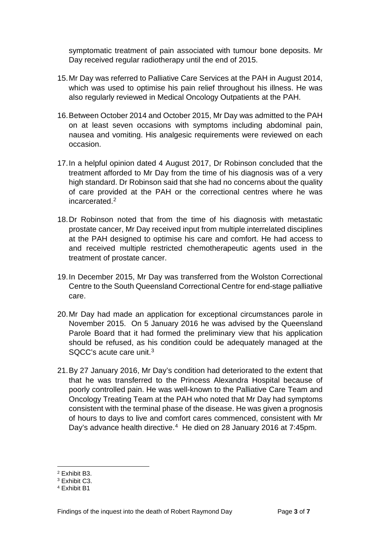symptomatic treatment of pain associated with tumour bone deposits. Mr Day received regular radiotherapy until the end of 2015.

- 15.Mr Day was referred to Palliative Care Services at the PAH in August 2014, which was used to optimise his pain relief throughout his illness. He was also regularly reviewed in Medical Oncology Outpatients at the PAH.
- 16.Between October 2014 and October 2015, Mr Day was admitted to the PAH on at least seven occasions with symptoms including abdominal pain, nausea and vomiting. His analgesic requirements were reviewed on each occasion.
- 17.In a helpful opinion dated 4 August 2017, Dr Robinson concluded that the treatment afforded to Mr Day from the time of his diagnosis was of a very high standard. Dr Robinson said that she had no concerns about the quality of care provided at the PAH or the correctional centres where he was incarcerated.<sup>[2](#page-4-1)</sup>
- 18.Dr Robinson noted that from the time of his diagnosis with metastatic prostate cancer, Mr Day received input from multiple interrelated disciplines at the PAH designed to optimise his care and comfort. He had access to and received multiple restricted chemotherapeutic agents used in the treatment of prostate cancer.
- 19.In December 2015, Mr Day was transferred from the Wolston Correctional Centre to the South Queensland Correctional Centre for end-stage palliative care.
- 20.Mr Day had made an application for exceptional circumstances parole in November 2015. On 5 January 2016 he was advised by the Queensland Parole Board that it had formed the preliminary view that his application should be refused, as his condition could be adequately managed at the SQCC's acute care unit.[3](#page-4-2)
- 21.By 27 January 2016, Mr Day's condition had deteriorated to the extent that that he was transferred to the Princess Alexandra Hospital because of poorly controlled pain. He was well-known to the Palliative Care Team and Oncology Treating Team at the PAH who noted that Mr Day had symptoms consistent with the terminal phase of the disease. He was given a prognosis of hours to days to live and comfort cares commenced, consistent with Mr Day's advance health directive.[4](#page-4-3) He died on 28 January 2016 at 7:45pm.

<span id="page-4-1"></span><span id="page-4-0"></span><sup>2</sup> Exhibit B3.  $\overline{a}$ 

<span id="page-4-2"></span><sup>3</sup> Exhibit C3.

<span id="page-4-3"></span><sup>4</sup> Exhibit B1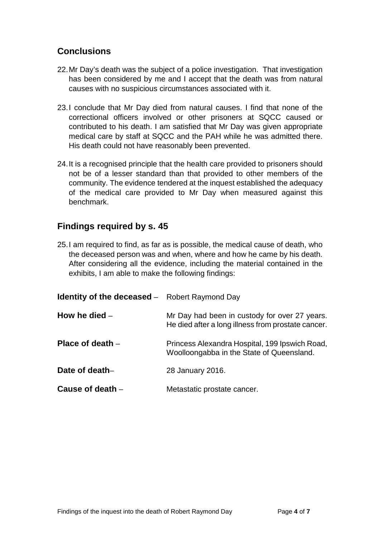## **Conclusions**

- 22.Mr Day's death was the subject of a police investigation. That investigation has been considered by me and I accept that the death was from natural causes with no suspicious circumstances associated with it.
- 23.I conclude that Mr Day died from natural causes. I find that none of the correctional officers involved or other prisoners at SQCC caused or contributed to his death. I am satisfied that Mr Day was given appropriate medical care by staff at SQCC and the PAH while he was admitted there. His death could not have reasonably been prevented.
- 24.It is a recognised principle that the health care provided to prisoners should not be of a lesser standard than that provided to other members of the community. The evidence tendered at the inquest established the adequacy of the medical care provided to Mr Day when measured against this benchmark.

## <span id="page-5-0"></span>**Findings required by s. 45**

25.I am required to find, as far as is possible, the medical cause of death, who the deceased person was and when, where and how he came by his death. After considering all the evidence, including the material contained in the exhibits, I am able to make the following findings:

<span id="page-5-5"></span><span id="page-5-4"></span><span id="page-5-3"></span><span id="page-5-2"></span><span id="page-5-1"></span>

| <b>Identity of the deceased</b> – Robert Raymond Day |                                                                                                     |
|------------------------------------------------------|-----------------------------------------------------------------------------------------------------|
| How he died $-$                                      | Mr Day had been in custody for over 27 years.<br>He died after a long illness from prostate cancer. |
| Place of death $-$                                   | Princess Alexandra Hospital, 199 Ipswich Road,<br>Woolloongabba in the State of Queensland.         |
| Date of death-                                       | 28 January 2016.                                                                                    |
| Cause of death -                                     | Metastatic prostate cancer.                                                                         |